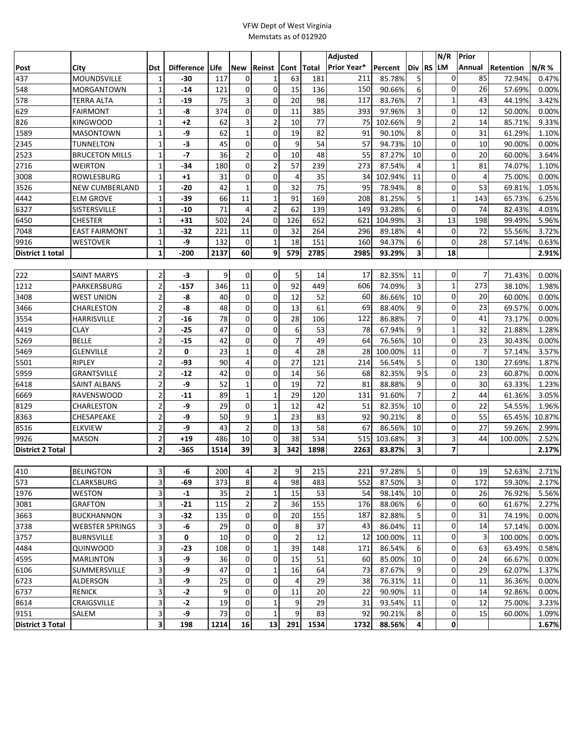## VFW Dept of West Virginia Memstats as of 012920

|                         |                       |                         |                   |      |                |                |                |       | Adjusted           |         |                | N/R                     | Prior          |           |        |
|-------------------------|-----------------------|-------------------------|-------------------|------|----------------|----------------|----------------|-------|--------------------|---------|----------------|-------------------------|----------------|-----------|--------|
| Post                    | City                  | <b>Dst</b>              | <b>Difference</b> | Life | <b>New</b>     | Reinst         | <b>Cont</b>    | Total | <b>Prior Year*</b> | Percent | Div RS         | <b>LM</b>               | Annual         | Retention | N/R %  |
| 437                     | MOUNDSVILLE           | 1                       | -30               | 117  | 0              | $\mathbf{1}$   | 63             | 181   | 211                | 85.78%  | 5              | 0                       | 85             | 72.94%    | 0.47%  |
| 548                     | MORGANTOWN            | $\mathbf 1$             | $-14$             | 121  | $\mathbf 0$    | 0              | 15             | 136   | 150                | 90.66%  | 6              | $\mathbf 0$             | 26             | 57.69%    | 0.00%  |
| 578                     | <b>TERRA ALTA</b>     | $\mathbf 1$             | $-19$             | 75   | 3              | $\mathbf 0$    | 20             | 98    | 117                | 83.76%  | $\overline{7}$ | $\mathbf 1$             | 43             | 44.19%    | 3.42%  |
| 629                     | FAIRMONT              | $\mathbf{1}$            | -8                | 374  | 0              | $\mathbf 0$    | 11             | 385   | 393                | 97.96%  | 3              | 0                       | 12             | 50.00%    | 0.00%  |
| 826                     | KINGWOOD              | $\mathbf{1}$            | $+2$              | 62   | 3              | $\overline{2}$ | 10             | 77    | 75                 | 102.66% | 9              | $\overline{c}$          | 14             | 85.71%    | 9.33%  |
| 1589                    | <b>MASONTOWN</b>      | $\mathbf 1$             | -9                | 62   | $\mathbf{1}$   | 0              | 19             | 82    | 91                 | 90.10%  | 8              | $\mathbf 0$             | 31             | 61.29%    | 1.10%  |
| 2345                    | <b>TUNNELTON</b>      | $\mathbf{1}$            | $-3$              | 45   | 0              | $\mathbf 0$    | 9              | 54    | 57                 | 94.73%  | 10             | $\mathbf 0$             | 10             | 90.00%    | 0.00%  |
| 2523                    | <b>BRUCETON MILLS</b> | $\mathbf 1$             | $-7$              | 36   | 2              | $\mathbf 0$    | 10             | 48    | 55                 | 87.27%  | 10             | 0                       | 20             | 60.00%    | 3.64%  |
| 2716                    | <b>WEIRTON</b>        | $\mathbf{1}$            | $-34$             | 180  | 0              | $\overline{2}$ | 57             | 239   | 273                | 87.54%  | 4              | $\mathbf{1}$            | 81             | 74.07%    | 1.10%  |
| 3008                    | ROWLESBURG            | 1                       | $+1$              | 31   | $\mathbf 0$    | 0              | 4              | 35    | 34                 | 102.94% | 11             | 0                       | 4              | 75.00%    | 0.00%  |
| 3526                    | <b>NEW CUMBERLAND</b> | $\mathbf{1}$            | -20               | 42   | $\mathbf{1}$   | 0              | 32             | 75    | 95                 | 78.94%  | 8              | 0                       | 53             | 69.81%    | 1.05%  |
| 4442                    | <b>ELM GROVE</b>      | $\mathbf 1$             | -39               | 66   | 11             | $\mathbf{1}$   | 91             | 169   | 208                | 81.25%  | 5              | $\mathbf{1}$            | 143            | 65.73%    | 6.25%  |
| 6327                    | SISTERSVILLE          | 1                       | $-10$             | 71   | $\overline{4}$ | $\overline{2}$ | 62             | 139   | 149                | 93.28%  | 6              | $\mathbf 0$             | 74             | 82.43%    | 4.03%  |
| 6450                    | <b>CHESTER</b>        | $\mathbf 1$             | +31               | 502  | 24             | $\mathbf 0$    | 126            | 652   | 621                | 104.99% | 3              | 13                      | 198            | 99.49%    | 5.96%  |
| 7048                    | <b>EAST FAIRMONT</b>  | $\mathbf 1$             | $-32$             | 221  | 11             | $\mathbf 0$    | 32             | 264   | 296                | 89.18%  | 4              | $\mathbf 0$             | 72             | 55.56%    | 3.72%  |
| 9916                    | <b>WESTOVER</b>       | $\mathbf 1$             | -9                | 132  | $\mathbf 0$    | $\mathbf{1}$   | 18             | 151   | 160                | 94.37%  | 6              | $\mathbf 0$             | 28             | 57.14%    | 0.63%  |
| District 1 total        |                       | $\mathbf 1$             | $-200$            | 2137 | 60             | 9              | 579            | 2785  | 2985               | 93.29%  | 3              | 18                      |                |           | 2.91%  |
|                         |                       |                         |                   |      |                |                |                |       |                    |         |                |                         |                |           |        |
| 222                     | <b>SAINT MARYS</b>    | $\overline{2}$          | -3                | 9    | $\mathbf 0$    | 0              | 5              | 14    | 17                 | 82.35%  | 11             | 0                       | $\overline{7}$ | 71.43%    | 0.00%  |
| 1212                    | PARKERSBURG           | $\mathbf 2$             | $-157$            | 346  | 11             | $\mathbf 0$    | 92             | 449   | 606                | 74.09%  | 3              | $\mathbf{1}$            | 273            | 38.10%    | 1.98%  |
| 3408                    | WEST UNION            | $\overline{2}$          | -8                | 40   | 0              | $\mathbf 0$    | 12             | 52    | 60                 | 86.66%  | 10             | 0                       | 20             | 60.00%    | 0.00%  |
| 3466                    | CHARLESTON            | $\mathbf 2$             | -8                | 48   | 0              | $\mathbf 0$    | 13             | 61    | 69                 | 88.40%  | 9              | 0                       | 23             | 69.57%    | 0.00%  |
| 3554                    | HARRISVILLE           | $\mathbf 2$             | $-16$             | 78   | 0              | $\mathbf 0$    | 28             | 106   | 122                | 86.88%  | $\overline{7}$ | $\mathbf 0$             | 41             | 73.17%    | 0.00%  |
| 4419                    | CLAY                  | $\overline{\mathbf{c}}$ | $-25$             | 47   | 0              | 0              | 6              | 53    | 78                 | 67.94%  | 9              | $\mathbf{1}$            | 32             | 21.88%    | 1.28%  |
| 5269                    | <b>BELLE</b>          | $\overline{\mathbf{c}}$ | $-15$             | 42   | 0              | $\mathbf 0$    | $\overline{7}$ | 49    | 64                 | 76.56%  | 10             | 0                       | 23             | 30.43%    | 0.00%  |
| 5469                    | <b>GLENVILLE</b>      | $\mathbf 2$             | 0                 | 23   | $\mathbf{1}$   | $\Omega$       | $\overline{4}$ | 28    | 28                 | 100.00% | 11             | 0                       | $\overline{7}$ | 57.14%    | 3.57%  |
| 5501                    | <b>RIPLEY</b>         | 2                       | $-93$             | 90   | 4              | $\mathbf 0$    | 27             | 121   | 214                | 56.54%  | 5              | 0                       | 130            | 27.69%    | 1.87%  |
| 5959                    | GRANTSVILLE           | $\mathbf 2$             | $-12$             | 42   | $\mathbf 0$    | $\mathbf 0$    | 14             | 56    | 68                 | 82.35%  | 9S             | $\mathbf 0$             | 23             | 60.87%    | 0.00%  |
| 6418                    | SAINT ALBANS          | $\mathbf 2$             | -9                | 52   | 1              | $\mathbf 0$    | 19             | 72    | 81                 | 88.88%  | 9              | 0                       | 30             | 63.33%    | 1.23%  |
| 6669                    | RAVENSWOOD            | $\mathbf 2$             | $-11$             | 89   | $\mathbf 1$    | $\mathbf{1}$   | 29             | 120   | 131                | 91.60%  | $\overline{7}$ | $\overline{\mathbf{c}}$ | 44             | 61.36%    | 3.05%  |
| 8129                    | CHARLESTON            | $\mathbf 2$             | -9                | 29   | 0              | $\mathbf{1}$   | 12             | 42    | 51                 | 82.35%  | 10             | $\mathbf 0$             | 22             | 54.55%    | 1.96%  |
| 8363                    | CHESAPEAKE            | $\mathbf 2$             | -9                | 50   | 9              | $\mathbf{1}$   | 23             | 83    | 92                 | 90.21%  | 8              | $\mathbf 0$             | 55             | 65.45%    | 10.87% |
| 8516                    | <b>ELKVIEW</b>        | $\overline{\mathbf{c}}$ | -9                | 43   | $\overline{2}$ | 0              | 13             | 58    | 67                 | 86.56%  | 10             | 0                       | 27             | 59.26%    | 2.99%  |
| 9926                    | <b>MASON</b>          | $\overline{\mathbf{c}}$ | +19               | 486  | 10             | $\mathbf 0$    | 38             | 534   | 515                | 103.68% | 3              | 3                       | 44             | 100.00%   | 2.52%  |
| <b>District 2 Total</b> |                       | $\overline{\mathbf{2}}$ | -365              | 1514 | 39             | 3              | 342            | 1898  | 2263               | 83.87%  | 3              | 7                       |                |           | 2.17%  |
|                         |                       |                         |                   |      |                |                |                |       |                    |         |                |                         |                |           |        |
| 410                     | <b>BELINGTON</b>      | $\vert$                 | -6                | 200  | $\overline{4}$ | $2\vert$       | 9              | 215   | 221                | 97.28%  | $\overline{5}$ | $\mathsf{o}$            | 19             | 52.63%    | 2.71%  |
| 573                     | <b>CLARKSBURG</b>     | 3                       | -69               | 373  | 8              | $\overline{4}$ | 98             | 483   | 552                | 87.50%  | 3              | $\mathbf 0$             | 172            | 59.30%    | 2.17%  |
| 1976                    | <b>WESTON</b>         | 3                       | $-1$              | 35   | 2              | 1              | 15             | 53    | 54                 | 98.14%  | 10             | $\overline{0}$          | 26             | 76.92%    | 5.56%  |
| 3081                    | <b>GRAFTON</b>        | 3                       | $-21$             | 115  | $\overline{2}$ | $\overline{2}$ | 36             | 155   | 176                | 88.06%  | 6              | 0                       | 60             | 61.67%    | 2.27%  |
| 3663                    | <b>BUCKHANNON</b>     | 3                       | $-32$             | 135  | 0              | 0              | 20             | 155   | 187                | 82.88%  | 5              | 0                       | 31             | 74.19%    | 0.00%  |
| 3738                    | WEBSTER SPRINGS       | 3                       | -6                | 29   | 0              | 0              | 8              | 37    | 43                 | 86.04%  | 11             | 0                       | 14             | 57.14%    | 0.00%  |
| 3757                    | BURNSVILLE            | 3                       | 0                 | 10   | 0              | 0              | $\overline{2}$ | 12    | 12                 | 100.00% | 11             | 0                       | 3              | 100.00%   | 0.00%  |
| 4484                    | QUINWOOD              | 3                       | $-23$             | 108  | 0              | $\mathbf{1}$   | 39             | 148   | 171                | 86.54%  | 6              | 0                       | 63             | 63.49%    | 0.58%  |
| 4595                    | MARLINTON             | 3                       | -9                | 36   | 0              | 0              | 15             | 51    | 60                 | 85.00%  | 10             | 0                       | 24             | 66.67%    | 0.00%  |
| 6106                    | SUMMERSVILLE          | 3                       | -9                | 47   | 0              | 1              | 16             | 64    | 73                 | 87.67%  | 9              | 0                       | 29             | 62.07%    | 1.37%  |
| 6723                    | ALDERSON              | 3                       | -9                | 25   | 0              | 0              | $\overline{4}$ | 29    | 38                 | 76.31%  | 11             | 0                       | 11             | 36.36%    | 0.00%  |
| 6737                    | RENICK                | 3                       | $-2$              | 9    | 0              | 0              | 11             | 20    | 22                 | 90.90%  | 11             | 0                       | 14             | 92.86%    | 0.00%  |
| 8614                    | CRAIGSVILLE           | 3                       | $-2$              | 19   | 0              | $\mathbf{1}$   | 9              | 29    | 31                 | 93.54%  | 11             | 0                       | 12             | 75.00%    | 3.23%  |
| 9151                    | SALEM                 | 3                       | -9                | 73   | 0              | $\mathbf{1}$   | 9              | 83    | 92                 | 90.21%  | 8              | $\mathbf 0$             | 15             | 60.00%    | 1.09%  |
| District 3 Total        |                       | 3                       | 198               | 1214 | 16             | 13             | 291            | 1534  | 1732               | 88.56%  | 4              | 0                       |                |           | 1.67%  |